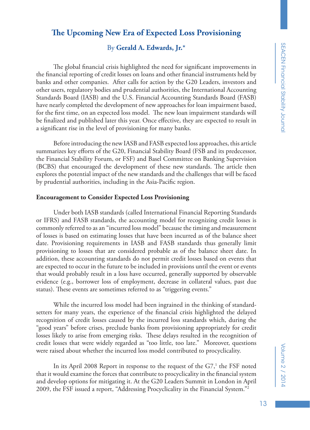# **The Upcoming New Era of Expected Loss Provisioning**

## By **Gerald A. Edwards, Jr.\***

The global financial crisis highlighted the need for significant improvements in the financial reporting of credit losses on loans and other financial instruments held by banks and other companies. After calls for action by the G20 Leaders, investors and other users, regulatory bodies and prudential authorities, the International Accounting Standards Board (IASB) and the U.S. Financial Accounting Standards Board (FASB) have nearly completed the development of new approaches for loan impairment based, for the first time, on an expected loss model. The new loan impairment standards will be finalized and published later this year. Once effective, they are expected to result in a significant rise in the level of provisioning for many banks.

Before introducing the new IASB and FASB expected loss approaches, this article summarizes key efforts of the G20, Financial Stability Board (FSB and its predecessor, the Financial Stability Forum, or FSF) and Basel Committee on Banking Supervision (BCBS) that encouraged the development of these new standards. The article then explores the potential impact of the new standards and the challenges that will be faced by prudential authorities, including in the Asia-Pacific region.

#### **Encouragement to Consider Expected Loss Provisioning**

Under both IASB standards (called International Financial Reporting Standards or IFRS) and FASB standards, the accounting model for recognizing credit losses is commonly referred to as an "incurred loss model" because the timing and measurement of losses is based on estimating losses that have been incurred as of the balance sheet date. Provisioning requirements in IASB and FASB standards thus generally limit provisioning to losses that are considered probable as of the balance sheet date. In addition, these accounting standards do not permit credit losses based on events that are expected to occur in the future to be included in provisions until the event or events that would probably result in a loss have occurred, generally supported by observable evidence (e.g., borrower loss of employment, decrease in collateral values, past due status). These events are sometimes referred to as "triggering events."

While the incurred loss model had been ingrained in the thinking of standardsetters for many years, the experience of the financial crisis highlighted the delayed recognition of credit losses caused by the incurred loss standards which, during the "good years" before crises, preclude banks from provisioning appropriately for credit losses likely to arise from emerging risks. These delays resulted in the recognition of credit losses that were widely regarded as "too little, too late." Moreover, questions were raised about whether the incurred loss model contributed to procyclicality.

In its April 2008 Report in response to the request of the  $G7<sup>1</sup>$ , the FSF noted that it would examine the forces that contribute to procyclicality in the financial system and develop options for mitigating it. At the G20 Leaders Summit in London in April 2009, the FSF issued a report, "Addressing Procyclicality in the Financial System."2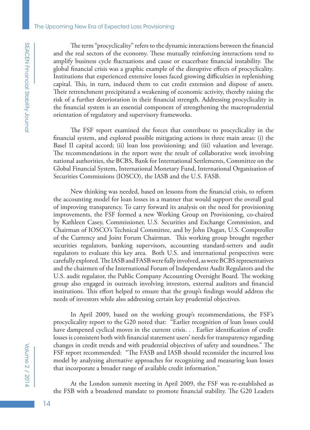The term "procyclicality" refers to the dynamic interactions between the financial and the real sectors of the economy. These mutually reinforcing interactions tend to amplify business cycle fluctuations and cause or exacerbate financial instability. The global financial crisis was a graphic example of the disruptive effects of procyclicality. Institutions that experienced extensive losses faced growing difficulties in replenishing capital. This, in turn, induced them to cut credit extension and dispose of assets. Their retrenchment precipitated a weakening of economic activity, thereby raising the risk of a further deterioration in their financial strength. Addressing procyclicality in the financial system is an essential component of strengthening the macroprudential orientation of regulatory and supervisory frameworks.

The FSF report examined the forces that contribute to procyclicality in the financial system, and explored possible mitigating actions in three main areas: (i) the Basel II capital accord; (ii) loan loss provisioning; and (iii) valuation and leverage. The recommendations in the report were the result of collaborative work involving national authorities, the BCBS, Bank for International Settlements, Committee on the Global Financial System, International Monetary Fund, International Organization of Securities Commissions (IOSCO), the IASB and the U.S. FASB.

New thinking was needed, based on lessons from the financial crisis, to reform the accounting model for loan losses in a manner that would support the overall goal of improving transparency. To carry forward its analysis on the need for provisioning improvements, the FSF formed a new Working Group on Provisioning, co-chaired by Kathleen Casey, Commissioner, U.S. Securities and Exchange Commission, and Chairman of IOSCO's Technical Committee, and by John Dugan, U.S. Comptroller of the Currency and Joint Forum Chairman. This working group brought together securities regulators, banking supervisors, accounting standard-setters and audit regulators to evaluate this key area. Both U.S. and international perspectives were carefully explored. The IASB and FASB were fully involved, as were BCBS representatives and the chairmen of the International Forum of Independent Audit Regulators and the U.S. audit regulator, the Public Company Accounting Oversight Board. The working group also engaged in outreach involving investors, external auditors and financial institutions. This effort helped to ensure that the group's findings would address the needs of investors while also addressing certain key prudential objectives.

In April 2009, based on the working group's recommendations, the FSF's procyclicality report to the G20 noted that: "Earlier recognition of loan losses could have dampened cyclical moves in the current crisis. . . Earlier identification of credit losses is consistent both with financial statement users' needs for transparency regarding changes in credit trends and with prudential objectives of safety and soundness." The FSF report recommended: "The FASB and IASB should reconsider the incurred loss model by analyzing alternative approaches for recognizing and measuring loan losses that incorporate a broader range of available credit information."

At the London summit meeting in April 2009, the FSF was re-established as the FSB with a broadened mandate to promote financial stability. The G20 Leaders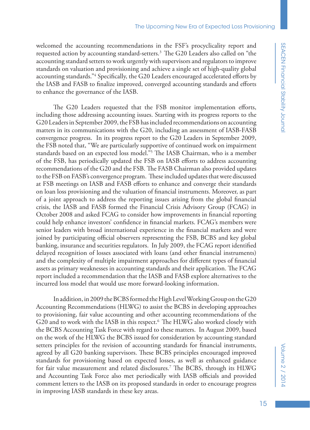welcomed the accounting recommendations in the FSF's procyclicality report and requested action by accounting standard-setters.<sup>3</sup> The G20 Leaders also called on "the accounting standard setters to work urgently with supervisors and regulators to improve standards on valuation and provisioning and achieve a single set of high-quality global accounting standards."4 Specifically, the G20 Leaders encouraged accelerated efforts by the IASB and FASB to finalize improved, converged accounting standards and efforts to enhance the governance of the IASB.

The G20 Leaders requested that the FSB monitor implementation efforts, including those addressing accounting issues. Starting with its progress reports to the G20 Leaders in September 2009, the FSB has included recommendations on accounting matters in its communications with the G20, including an assessment of IASB-FASB convergence progress. In its progress report to the G20 Leaders in September 2009, the FSB noted that, "We are particularly supportive of continued work on impairment standards based on an expected loss model."5 The IASB Chairman, who is a member of the FSB, has periodically updated the FSB on IASB efforts to address accounting recommendations of the G20 and the FSB. The FASB Chairman also provided updates to the FSB on FASB's convergence program. These included updates that were discussed at FSB meetings on IASB and FASB efforts to enhance and converge their standards on loan loss provisioning and the valuation of financial instruments. Moreover, as part of a joint approach to address the reporting issues arising from the global financial crisis, the IASB and FASB formed the Financial Crisis Advisory Group (FCAG) in October 2008 and asked FCAG to consider how improvements in financial reporting could help enhance investors' confidence in financial markets. FCAG's members were senior leaders with broad international experience in the financial markets and were joined by participating official observers representing the FSB, BCBS and key global banking, insurance and securities regulators. In July 2009, the FCAG report identified delayed recognition of losses associated with loans (and other financial instruments) and the complexity of multiple impairment approaches for different types of financial assets as primary weaknesses in accounting standards and their application. The FCAG report included a recommendation that the IASB and FASB explore alternatives to the incurred loss model that would use more forward-looking information.

In addition, in 2009 the BCBS formed the High Level Working Group on the G20 Accounting Recommendations (HLWG) to assist the BCBS in developing approaches to provisioning, fair value accounting and other accounting recommendations of the G20 and to work with the IASB in this respect.<sup>6</sup> The HLWG also worked closely with the BCBS Accounting Task Force with regard to these matters. In August 2009, based on the work of the HLWG the BCBS issued for consideration by accounting standard setters principles for the revision of accounting standards for financial instruments, agreed by all G20 banking supervisors. These BCBS principles encouraged improved standards for provisioning based on expected losses, as well as enhanced guidance for fair value measurement and related disclosures.7 The BCBS, through its HLWG and Accounting Task Force also met periodically with IASB officials and provided comment letters to the IASB on its proposed standards in order to encourage progress in improving IASB standards in these key areas.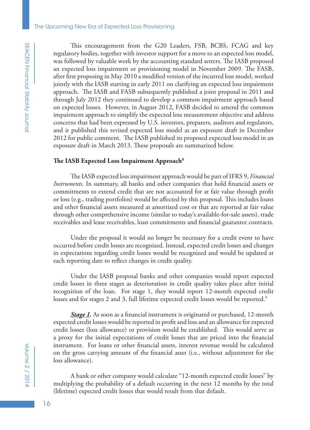This encouragement from the G20 Leaders, FSB, BCBS, FCAG and key regulatory bodies, together with investor support for a move to an expected loss model, was followed by valuable work by the accounting standard setters. The IASB proposed an expected loss impairment or provisioning model in November 2009. The FASB, after first proposing in May 2010 a modified version of the incurred loss model, worked jointly with the IASB starting in early 2011 on clarifying an expected loss impairment approach. The IASB and FASB subsequently published a joint proposal in 2011 and through July 2012 they continued to develop a common impairment approach based on expected losses. However, in August 2012, FASB decided to amend the common impairment approach to simplify the expected loss measurement objective and address concerns that had been expressed by U.S. investors, preparers, auditors and regulators, and it published this revised expected loss model as an exposure draft in December 2012 for public comment. The IASB published its proposed expected loss model in an exposure draft in March 2013. These proposals are summarized below.

### **The IASB Expected Loss Impairment Approach8**

The IASB expected loss impairment approach would be part of IFRS 9, *Financial Instruments.* In summary, all banks and other companies that hold financial assets or commitments to extend credit that are not accounted for at fair value through profit or loss (e.g., trading portfolios) would be affected by this proposal. This includes loans and other financial assets measured at amortized cost or that are reported at fair value through other comprehensive income (similar to today's available-for-sale assets), trade receivables and lease receivables, loan commitments and financial guarantee contracts.

Under the proposal it would no longer be necessary for a credit event to have occurred before credit losses are recognized. Instead, expected credit losses and changes in expectations regarding credit losses would be recognized and would be updated at each reporting date to reflect changes in credit quality.

Under the IASB proposal banks and other companies would report expected credit losses in three stages as deterioration in credit quality takes place after initial recognition of the loan. For stage 1, they would report 12-month expected credit losses and for stages 2 and 3, full lifetime expected credit losses would be reported.<sup>9</sup>

**Stage 1.** As soon as a financial instrument is originated or purchased, 12-month expected credit losses would be reported in profit and loss and an allowance for expected credit losses (loss allowance) or provision would be established. This would serve as a proxy for the initial expectations of credit losses that are priced into the financial instrument. For loans or other financial assets, interest revenue would be calculated on the gross carrying amount of the financial asset (i.e., without adjustment for the loss allowance).

A bank or other company would calculate "12-month expected credit losses" by multiplying the probability of a default occurring in the next 12 months by the total (lifetime) expected credit losses that would result from that default.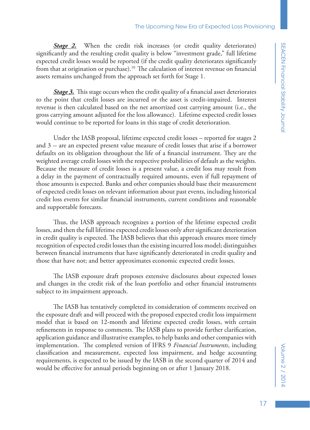**Stage 2.** When the credit risk increases (or credit quality deteriorates) significantly and the resulting credit quality is below "investment grade," full lifetime expected credit losses would be reported (if the credit quality deteriorates significantly from that at origination or purchase).<sup>10</sup> The calculation of interest revenue on financial assets remains unchanged from the approach set forth for Stage 1.

*Stage 3.* This stage occurs when the credit quality of a financial asset deteriorates to the point that credit losses are incurred or the asset is credit-impaired. Interest revenue is then calculated based on the net amortized cost carrying amount (i.e., the gross carrying amount adjusted for the loss allowance). Lifetime expected credit losses would continue to be reported for loans in this stage of credit deterioration.

Under the IASB proposal, lifetime expected credit losses – reported for stages 2 and 3 -- are an expected present value measure of credit losses that arise if a borrower defaults on its obligation throughout the life of a financial instrument. They are the weighted average credit losses with the respective probabilities of default as the weights. Because the measure of credit losses is a present value, a credit loss may result from a delay in the payment of contractually required amounts, even if full repayment of those amounts is expected. Banks and other companies should base their measurement of expected credit losses on relevant information about past events, including historical credit loss events for similar financial instruments, current conditions and reasonable and supportable forecasts.

Thus, the IASB approach recognizes a portion of the lifetime expected credit losses, and then the full lifetime expected credit losses only after significant deterioration in credit quality is expected. The IASB believes that this approach ensures more timely recognition of expected credit losses than the existing incurred loss model; distinguishes between financial instruments that have significantly deteriorated in credit quality and those that have not; and better approximates economic expected credit losses.

The IASB exposure draft proposes extensive disclosures about expected losses and changes in the credit risk of the loan portfolio and other financial instruments subject to its impairment approach.

The IASB has tentatively completed its consideration of comments received on the exposure draft and will proceed with the proposed expected credit loss impairment model that is based on 12-month and lifetime expected credit losses, with certain refinements in response to comments. The IASB plans to provide further clarification, application guidance and illustrative examples, to help banks and other companies with implementation. The completed version of IFRS 9 *Financial Instruments*, including classification and measurement, expected loss impairment, and hedge accounting requirements, is expected to be issued by the IASB in the second quarter of 2014 and would be effective for annual periods beginning on or after 1 January 2018.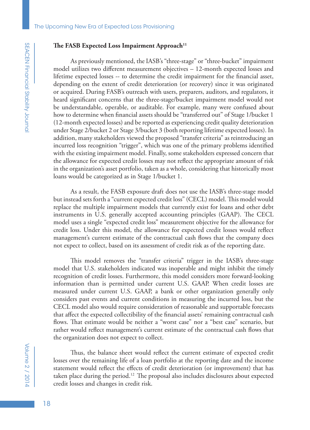### The FASB Expected Loss Impairment Approach<sup>11</sup>

As previously mentioned, the IASB's "three-stage" or "three-bucket" impairment model utilizes two different measurement objectives – 12-month expected losses and lifetime expected losses -- to determine the credit impairment for the financial asset, depending on the extent of credit deterioration (or recovery) since it was originated or acquired. During FASB's outreach with users, preparers, auditors, and regulators, it heard significant concerns that the three-stage/bucket impairment model would not be understandable, operable, or auditable. For example, many were confused about how to determine when financial assets should be "transferred out" of Stage 1/bucket 1 (12-month expected losses) and be reported as experiencing credit quality deterioration under Stage 2/bucket 2 or Stage 3/bucket 3 (both reporting lifetime expected losses). In addition, many stakeholders viewed the proposed "transfer criteria" as reintroducing an incurred loss recognition "trigger", which was one of the primary problems identified with the existing impairment model. Finally, some stakeholders expressed concern that the allowance for expected credit losses may not reflect the appropriate amount of risk in the organization's asset portfolio, taken as a whole, considering that historically most loans would be categorized as in Stage 1/bucket 1.

As a result, the FASB exposure draft does not use the IASB's three-stage model but instead sets forth a "current expected credit loss" (CECL) model. This model would replace the multiple impairment models that currently exist for loans and other debt instruments in U.S. generally accepted accounting principles (GAAP). The CECL model uses a single "expected credit loss" measurement objective for the allowance for credit loss. Under this model, the allowance for expected credit losses would reflect management's current estimate of the contractual cash flows that the company does not expect to collect, based on its assessment of credit risk as of the reporting date.

This model removes the "transfer criteria" trigger in the IASB's three-stage model that U.S. stakeholders indicated was inoperable and might inhibit the timely recognition of credit losses. Furthermore, this model considers more forward-looking information than is permitted under current U.S. GAAP. When credit losses are measured under current U.S. GAAP, a bank or other organization generally only considers past events and current conditions in measuring the incurred loss, but the CECL model also would require consideration of reasonable and supportable forecasts that affect the expected collectibility of the financial assets' remaining contractual cash flows. That estimate would be neither a "worst case" nor a "best case" scenario, but rather would reflect management's current estimate of the contractual cash flows that the organization does not expect to collect.

Thus, the balance sheet would reflect the current estimate of expected credit losses over the remaining life of a loan portfolio at the reporting date and the income statement would reflect the effects of credit deterioration (or improvement) that has taken place during the period.12 The proposal also includes disclosures about expected credit losses and changes in credit risk.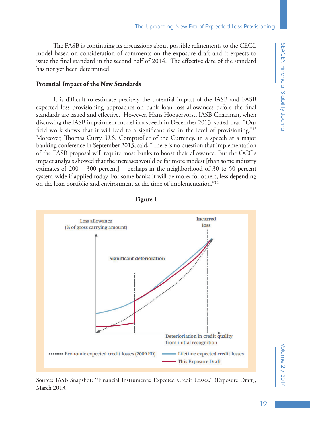The FASB is continuing its discussions about possible refinements to the CECL model based on consideration of comments on the exposure draft and it expects to issue the final standard in the second half of 2014. The effective date of the standard has not yet been determined.

#### **Potential Impact of the New Standards**

It is difficult to estimate precisely the potential impact of the IASB and FASB expected loss provisioning approaches on bank loan loss allowances before the final standards are issued and effective. However, Hans Hoogervorst, IASB Chairman, when discussing the IASB impairment model in a speech in December 2013, stated that, "Our field work shows that it will lead to a significant rise in the level of provisioning."13 Moreover, Thomas Curry, U.S. Comptroller of the Currency, in a speech at a major banking conference in September 2013, said, "There is no question that implementation of the FASB proposal will require most banks to boost their allowance. But the OCC's impact analysis showed that the increases would be far more modest [than some industry estimates of 200 – 300 percent] – perhaps in the neighborhood of 30 to 50 percent system-wide if applied today. For some banks it will be more; for others, less depending on the loan portfolio and environment at the time of implementation."14



**Figure 1**

Source: IASB Snapshot: **"**Financial Instruments: Expected Credit Losses," (Exposure Draft), March 2013.

# Volume 2 / 2014 Volume 2 / 2014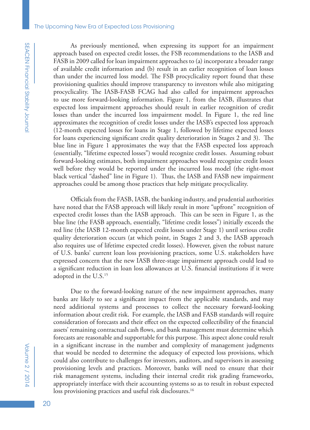#### The Upcoming New Era of Expected Loss Provisioning

As previously mentioned, when expressing its support for an impairment approach based on expected credit losses, the FSB recommendations to the IASB and FASB in 2009 called for loan impairment approaches to (a) incorporate a broader range of available credit information and (b) result in an earlier recognition of loan losses than under the incurred loss model. The FSB procyclicality report found that these provisioning qualities should improve transparency to investors while also mitigating procyclicality. The IASB-FASB FCAG had also called for impairment approaches to use more forward-looking information. Figure 1, from the IASB, illustrates that expected loss impairment approaches should result in earlier recognition of credit losses than under the incurred loss impairment model. In Figure 1, the red line approximates the recognition of credit losses under the IASB's expected loss approach (12-month expected losses for loans in Stage 1, followed by lifetime expected losses for loans experiencing significant credit quality deterioration in Stages 2 and 3). The blue line in Figure 1 approximates the way that the FASB expected loss approach (essentially, "lifetime expected losses") would recognize credit losses. Assuming robust forward-looking estimates, both impairment approaches would recognize credit losses well before they would be reported under the incurred loss model (the right-most black vertical "dashed" line in Figure 1). Thus, the IASB and FASB new impairment approaches could be among those practices that help mitigate procyclicality.

Officials from the FASB, IASB, the banking industry, and prudential authorities have noted that the FASB approach will likely result in more "upfront" recognition of expected credit losses than the IASB approach. This can be seen in Figure 1, as the blue line (the FASB approach, essentially, "lifetime credit losses") initially exceeds the red line (the IASB 12-month expected credit losses under Stage 1) until serious credit quality deterioration occurs (at which point, in Stages 2 and 3, the IASB approach also requires use of lifetime expected credit losses). However, given the robust nature of U.S. banks' current loan loss provisioning practices, some U.S. stakeholders have expressed concern that the new IASB three-stage impairment approach could lead to a significant reduction in loan loss allowances at U.S. financial institutions if it were adopted in the U.S.15

Due to the forward-looking nature of the new impairment approaches, many banks are likely to see a significant impact from the applicable standards, and may need additional systems and processes to collect the necessary forward-looking information about credit risk. For example, the IASB and FASB standards will require consideration of forecasts and their effect on the expected collectibility of the financial assets' remaining contractual cash flows, and bank management must determine which forecasts are reasonable and supportable for this purpose. This aspect alone could result in a significant increase in the number and complexity of management judgments that would be needed to determine the adequacy of expected loss provisions, which could also contribute to challenges for investors, auditors, and supervisors in assessing provisioning levels and practices. Moreover, banks will need to ensure that their risk management systems, including their internal credit risk grading frameworks, appropriately interface with their accounting systems so as to result in robust expected loss provisioning practices and useful risk disclosures.<sup>16</sup>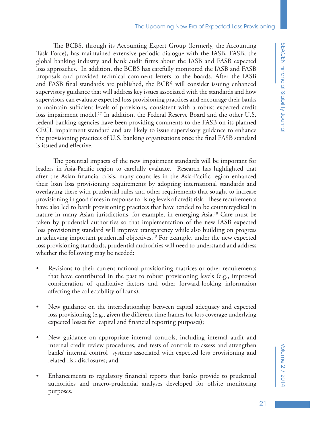The BCBS, through its Accounting Expert Group (formerly, the Accounting Task Force), has maintained extensive periodic dialogue with the IASB, FASB, the global banking industry and bank audit firms about the IASB and FASB expected loss approaches. In addition, the BCBS has carefully monitored the IASB and FASB proposals and provided technical comment letters to the boards. After the IASB and FASB final standards are published, the BCBS will consider issuing enhanced supervisory guidance that will address key issues associated with the standards and how supervisors can evaluate expected loss provisioning practices and encourage their banks to maintain sufficient levels of provisions, consistent with a robust expected credit loss impairment model.<sup>17</sup> In addition, the Federal Reserve Board and the other U.S. federal banking agencies have been providing comments to the FASB on its planned CECL impairment standard and are likely to issue supervisory guidance to enhance the provisioning practices of U.S. banking organizations once the final FASB standard is issued and effective.

The potential impacts of the new impairment standards will be important for leaders in Asia-Pacific region to carefully evaluate. Research has highlighted that after the Asian financial crisis, many countries in the Asia-Pacific region enhanced their loan loss provisioning requirements by adopting international standards and overlaying these with prudential rules and other requirements that sought to increase provisioning in good times in response to rising levels of credit risk. These requirements have also led to bank provisioning practices that have tended to be countercyclical in nature in many Asian jurisdictions, for example, in emerging Asia.18 Care must be taken by prudential authorities so that implementation of the new IASB expected loss provisioning standard will improve transparency while also building on progress in achieving important prudential objectives.<sup>19</sup> For example, under the new expected loss provisioning standards, prudential authorities will need to understand and address whether the following may be needed:

- Revisions to their current national provisioning matrices or other requirements that have contributed in the past to robust provisioning levels (e.g., improved consideration of qualitative factors and other forward-looking information affecting the collectability of loans);
- New guidance on the interrelationship between capital adequacy and expected loss provisioning (e.g., given the different time frames for loss coverage underlying expected losses for capital and financial reporting purposes);
- New guidance on appropriate internal controls, including internal audit and internal credit review procedures, and tests of controls to assess and strengthen banks' internal control systems associated with expected loss provisioning and related risk disclosures; and
- Enhancements to regulatory financial reports that banks provide to prudential authorities and macro-prudential analyses developed for offsite monitoring purposes.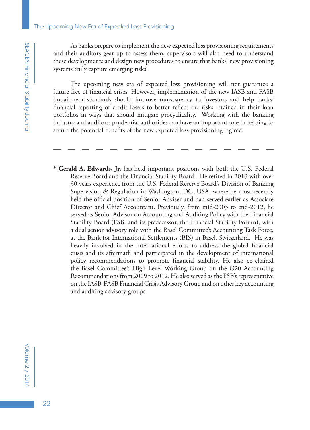As banks prepare to implement the new expected loss provisioning requirements and their auditors gear up to assess them, supervisors will also need to understand these developments and design new procedures to ensure that banks' new provisioning systems truly capture emerging risks.

The upcoming new era of expected loss provisioning will not guarantee a future free of financial crises. However, implementation of the new IASB and FASB impairment standards should improve transparency to investors and help banks' financial reporting of credit losses to better reflect the risks retained in their loan portfolios in ways that should mitigate procyclicality. Working with the banking industry and auditors, prudential authorities can have an important role in helping to secure the potential benefits of the new expected loss provisioning regime.

**\* Gerald A. Edwards, Jr.** has held important positions with both the U.S. Federal Reserve Board and the Financial Stability Board. He retired in 2013 with over 30 years experience from the U.S. Federal Reserve Board's Division of Banking Supervision & Regulation in Washington, DC, USA, where he most recently held the official position of Senior Adviser and had served earlier as Associate Director and Chief Accountant. Previously, from mid-2005 to end-2012, he served as Senior Advisor on Accounting and Auditing Policy with the Financial Stability Board (FSB, and its predecessor, the Financial Stability Forum), with a dual senior advisory role with the Basel Committee's Accounting Task Force, at the Bank for International Settlements (BIS) in Basel, Switzerland. He was heavily involved in the international efforts to address the global financial crisis and its aftermath and participated in the development of international policy recommendations to promote financial stability. He also co-chaired the Basel Committee's High Level Working Group on the G20 Accounting Recommendations from 2009 to 2012. He also served as the FSB's representative on the IASB-FASB Financial Crisis Advisory Group and on other key accounting and auditing advisory groups.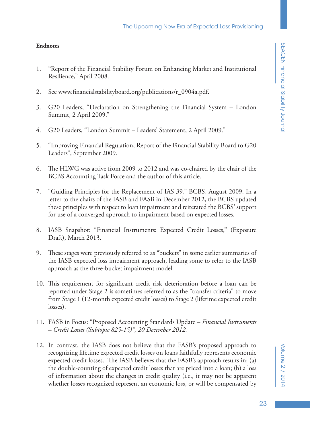### **Endnotes**

- 1. "Report of the Financial Stability Forum on Enhancing Market and Institutional Resilience," April 2008.
- 2. See www.financialstabilityboard.org/publications/r\_0904a.pdf.
- 3. G20 Leaders, "Declaration on Strengthening the Financial System London Summit, 2 April 2009."
- 4. G20 Leaders, "London Summit Leaders' Statement, 2 April 2009."
- 5. "Improving Financial Regulation, Report of the Financial Stability Board to G20 Leaders", September 2009.
- 6. The HLWG was active from 2009 to 2012 and was co-chaired by the chair of the BCBS Accounting Task Force and the author of this article.
- 7. "Guiding Principles for the Replacement of IAS 39," BCBS, August 2009. In a letter to the chairs of the IASB and FASB in December 2012, the BCBS updated these principles with respect to loan impairment and reiterated the BCBS' support for use of a converged approach to impairment based on expected losses.
- 8. IASB Snapshot: "Financial Instruments: Expected Credit Losses," (Exposure Draft), March 2013.
- 9. These stages were previously referred to as "buckets" in some earlier summaries of the IASB expected loss impairment approach, leading some to refer to the IASB approach as the three-bucket impairment model.
- 10. This requirement for significant credit risk deterioration before a loan can be reported under Stage 2 is sometimes referred to as the "transfer criteria" to move from Stage 1 (12-month expected credit losses) to Stage 2 (lifetime expected credit losses).
- 11. FASB in Focus: "Proposed Accounting Standards Update *Financial Instruments* – *Credit Losses (Subtopic 825-15)", 20 December 2012.*
- 12. In contrast, the IASB does not believe that the FASB's proposed approach to recognizing lifetime expected credit losses on loans faithfully represents economic expected credit losses. The IASB believes that the FASB's approach results in: (a) the double-counting of expected credit losses that are priced into a loan; (b) a loss of information about the changes in credit quality (i.e., it may not be apparent whether losses recognized represent an economic loss, or will be compensated by